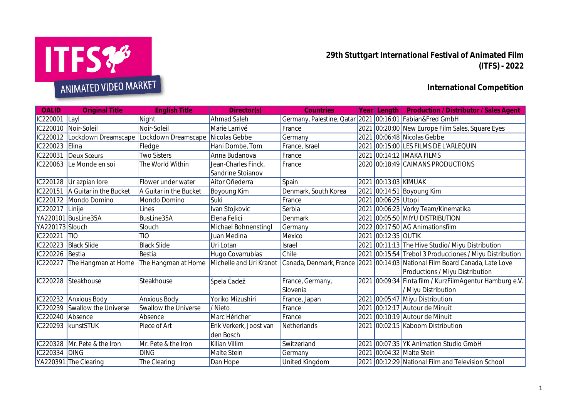

**29th Stuttgart International Festival of Animated Film (ITFS) - 2022**

## **International Competition**

| OALID           | <b>Original Title</b>                   | <b>English Title</b>   | Director(s)             | <b>Countries</b>                                         |      |                     | Year Length Production / Distributor / Sales Agent                          |
|-----------------|-----------------------------------------|------------------------|-------------------------|----------------------------------------------------------|------|---------------------|-----------------------------------------------------------------------------|
| IC220001        | $\vert$ Layl                            | Night                  | Ahmad Saleh             | Germany, Palestine, Qatar 2021 00:16:01 Fabian&Fred GmbH |      |                     |                                                                             |
|                 | IC220010 Noir-Soleil                    | Noir-Soleil            | Marie Larrivé           | France                                                   |      |                     | 2021 00:20:00 New Europe Film Sales, Square Eyes                            |
| IC220012        | Lockdown Dreamscape                     | Lockdown Dreamscape    | Nicolas Gebbe           | Germany                                                  |      |                     | 2021 00:06:48 Nicolas Gebbe                                                 |
| IC220023        | Elina                                   | Fledge                 | Hani Dombe, Tom         | France, Israel                                           | 2021 |                     | 00:15:00 LES FILMS DE L'ARLEQUIN                                            |
| IC220031        | Deux Sœurs                              | <b>Two Sisters</b>     | Anna Budanova           | France                                                   | 2021 |                     | $100:14:12$ IMAKA FILMS                                                     |
| IC220063        | Le Monde en soi                         | The World Within       | Jean-Charles Finck,     | France                                                   |      |                     | 2020 00:18:49 CAIMANS PRODUCTIONS                                           |
|                 |                                         |                        | Sandrine Stoianov       |                                                          |      |                     |                                                                             |
|                 | IC220128 Ur azpian lore                 | Flower under water     | Aitor Oñederra          | Spain                                                    | 2021 | 00:13:03 KIMUAK     |                                                                             |
| IC220151        | A Guitar in the Bucket                  | A Guitar in the Bucket | Boyoung Kim             | Denmark, South Korea                                     | 2021 |                     | $\vert$ 00:14:51 Boyoung Kim                                                |
| IC220172        | Mondo Domino                            | Mondo Domino           | Suki                    | France                                                   | 2021 | 00:06:25 Utopi      |                                                                             |
| IC220217        | Linije                                  | Lines                  | Ivan Stojkovic          | Serbia                                                   | 2021 |                     | 00:06:23 Vorky Team/Kinematika                                              |
|                 | YA220101 BusLine35A                     | BusLine35A             | Elena Felici            | Denmark                                                  | 2021 |                     | 00:05:50 MIYU DISTRIBUTION                                                  |
| YA220173 Slouch |                                         | Slouch                 | Michael Bohnenstingl    | Germany                                                  |      |                     | 2022 00:17:50 AG Animationsfilm                                             |
| IC220221        | $\overline{110}$                        | <b>TIO</b>             | Juan Medina             | Mexico                                                   |      | 2021 00:12:35 OUTIK |                                                                             |
| IC220223        | <b>Black Slide</b>                      | <b>Black Slide</b>     | Uri Lotan               | Israel                                                   | 2021 |                     | 00:11:13 The Hive Studio/ Miyu Distribution                                 |
| IC220226        | Bestia                                  | Bestia                 | Hugo Covarrubias        | Chile                                                    | 2021 |                     | 00:15:54 Trebol 3 Producciones / Miyu Distribution                          |
| IC220227        | The Hangman at Home The Hangman at Home |                        | Michelle and Uri Kranot |                                                          |      |                     | Canada, Denmark, France 2021 00:14:03 National Film Board Canada, Late Love |
|                 |                                         |                        |                         |                                                          |      |                     | Productions / Miyu Distribution                                             |
| IC220228        | Steakhouse                              | Steakhouse             | Špela Čadež             | France, Germany,                                         |      |                     | 2021 00:09:34 Finta film / KurzFilmAgentur Hamburg e.V.                     |
|                 |                                         |                        |                         | Slovenia                                                 |      |                     | / Miyu Distribution                                                         |
| IC220232        | <b>Anxious Body</b>                     | <b>Anxious Body</b>    | Yoriko Mizushiri        | France, Japan                                            | 2021 |                     | 00:05:47 Miyu Distribution                                                  |
| IC220239        | Swallow the Universe                    | Swallow the Universe   | /Nieto                  | France                                                   | 2021 |                     | 00:12:17 Autour de Minuit                                                   |
| IC220240        | Absence                                 | Absence                | Marc Héricher           | France                                                   | 2021 |                     | 00:10:19 Autour de Minuit                                                   |
|                 | IC220293 kunstSTUK                      | Piece of Art           | Erik Verkerk, Joost van | Netherlands                                              | 2021 |                     | 00:02:15 Kaboom Distribution                                                |
|                 |                                         |                        | den Bosch               |                                                          |      |                     |                                                                             |
|                 | IC220328 Mr. Pete & the Iron            | Mr. Pete & the Iron    | Kilian Villim           | Switzerland                                              | 2021 |                     | 00:07:35 YK Animation Studio GmbH                                           |
| IC220334 DING   |                                         | <b>DING</b>            | Malte Stein             | Germany                                                  | 2021 |                     | $00:04:32$ Malte Stein                                                      |
|                 | YA220391 The Clearing                   | The Clearing           | Dan Hope                | United Kingdom                                           |      |                     | 2021 00:12:29 National Film and Television School                           |